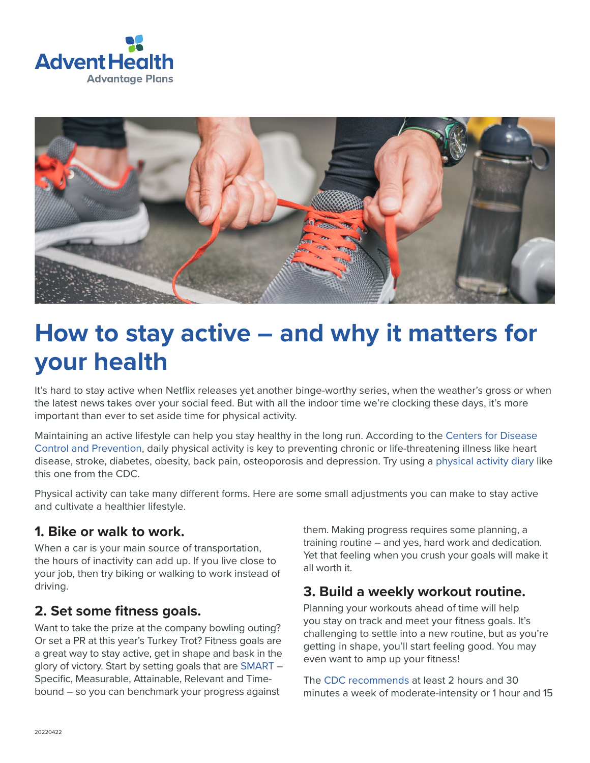



# **How to stay active – and why it matters for your health**

It's hard to stay active when Netflix releases yet another binge-worthy series, when the weather's gross or when the latest news takes over your social feed. But with all the indoor time we're clocking these days, it's more important than ever to set aside time for physical activity.

Maintaining an active lifestyle can help you stay healthy in the long run. According to the [Centers for Disease](https://www.cdc.gov/physicalactivity/basics/pa-health/index.htm)  [Control and Prevention](https://www.cdc.gov/physicalactivity/basics/pa-health/index.htm), daily physical activity is key to preventing chronic or life-threatening illness like heart disease, stroke, diabetes, obesity, back pain, osteoporosis and depression. Try using a [physical activity diary](https://www.cdc.gov/healthyweight/pdf/physical_activity_diary_cdc.pdf) like this one from the CDC.

Physical activity can take many different forms. Here are some small adjustments you can make to stay active and cultivate a healthier lifestyle.

#### **1. Bike or walk to work.**

When a car is your main source of transportation, the hours of inactivity can add up. If you live close to your job, then try biking or walking to work instead of driving.

#### **2. Set some fitness goals.**

Want to take the prize at the company bowling outing? Or set a PR at this year's Turkey Trot? Fitness goals are a great way to stay active, get in shape and bask in the glory of victory. Start by setting goals that are [SMART](https://www.acefitness.org/education-and-resources/lifestyle/blog/6763/a-guide-for-s-m-a-r-t-goal-setting/) – Specific, Measurable, Attainable, Relevant and Timebound – so you can benchmark your progress against

them. Making progress requires some planning, a training routine – and yes, hard work and dedication. Yet that feeling when you crush your goals will make it all worth it.

#### **3. Build a weekly workout routine.**

Planning your workouts ahead of time will help you stay on track and meet your fitness goals. It's challenging to settle into a new routine, but as you're getting in shape, you'll start feeling good. You may even want to amp up your fitness!

The [CDC recommends](https://www.cdc.gov/healthyweight/physical_activity/index.html) at least 2 hours and 30 minutes a week of moderate-intensity or 1 hour and 15